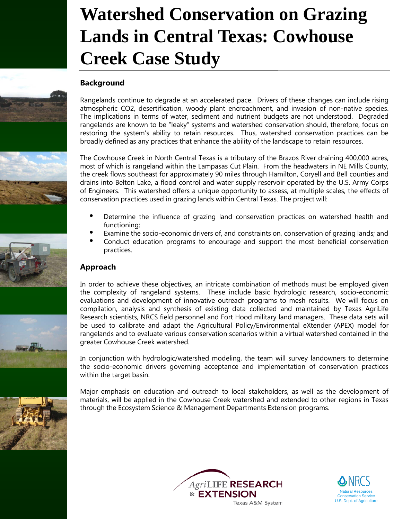# **Watershed Conservation on Grazing Lands in Central Texas: Cowhouse Creek Case Study**

## **Background**

Rangelands continue to degrade at an accelerated pace. Drivers of these changes can include rising atmospheric CO2, desertification, woody plant encroachment, and invasion of non-native species. The implications in terms of water, sediment and nutrient budgets are not understood. Degraded rangelands are known to be "leaky" systems and watershed conservation should, therefore, focus on restoring the system's ability to retain resources. Thus, watershed conservation practices can be broadly defined as any practices that enhance the ability of the landscape to retain resources.

The Cowhouse Creek in North Central Texas is a tributary of the Brazos River draining 400,000 acres, most of which is rangeland within the Lampasas Cut Plain. From the headwaters in NE Mills County, the creek flows southeast for approximately 90 miles through Hamilton, Coryell and Bell counties and drains into Belton Lake, a flood control and water supply reservoir operated by the U.S. Army Corps of Engineers. This watershed offers a unique opportunity to assess, at multiple scales, the effects of conservation practices used in grazing lands within Central Texas. The project will:

- Determine the influence of grazing land conservation practices on watershed health and functioning;
- Examine the socio-economic drivers of, and constraints on, conservation of grazing lands; and
- Conduct education programs to encourage and support the most beneficial conservation practices.

## **Approach**

In order to achieve these objectives, an intricate combination of methods must be employed given the complexity of rangeland systems. These include basic hydrologic research, socio-economic evaluations and development of innovative outreach programs to mesh results. We will focus on compilation, analysis and synthesis of existing data collected and maintained by Texas AgriLife Research scientists, NRCS field personnel and Fort Hood military land managers. These data sets will be used to calibrate and adapt the Agricultural Policy/Environmental eXtender (APEX) model for rangelands and to evaluate various conservation scenarios within a virtual watershed contained in the greater Cowhouse Creek watershed.

In conjunction with hydrologic/watershed modeling, the team will survey landowners to determine the socio-economic drivers governing acceptance and implementation of conservation practices within the target basin.

Major emphasis on education and outreach to local stakeholders, as well as the development of materials, will be applied in the Cowhouse Creek watershed and extended to other regions in Texas through the Ecosystem Science & Management Departments Extension programs.